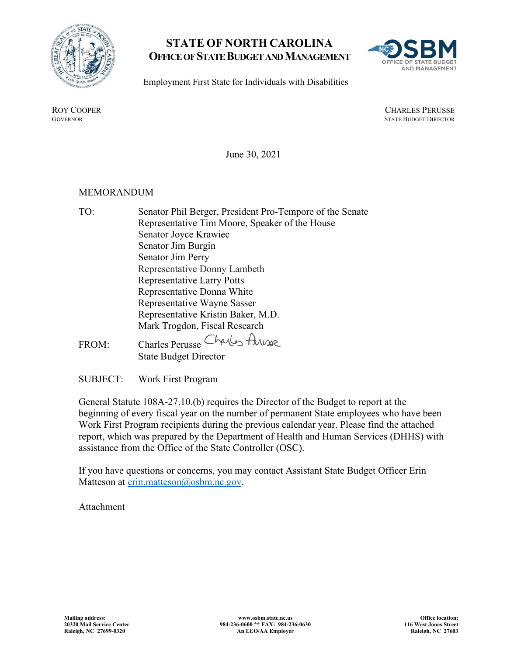

## **STATE OF NORTH CAROLINA OFFICE OF STATE BUDGET AND MANAGEMENT**



Employment First State for Individuals with Disabilities

ROY COOPER<br>GOVERNOR CHARLES PERUSSE<br>GOVERNOR STATE BUDGET DIRECTOR **STATE BUDGET DIRECTOR** 

June 30, 2021

## MEMORANDUM

- TO: Senator Phil Berger, President Pro-Tempore of the Senate Representative Tim Moore, Speaker of the House Senator Joyce Krawiec Senator Jim Burgin Senator Jim Perry Representative Donny Lambeth Representative Larry Potts Representative Donna White Representative Wayne Sasser Representative Kristin Baker, M.D. Mark Trogdon, Fiscal Research FROM: Charles Perusse
	- State Budget Director

SUBJECT: Work First Program

General Statute 108A-27.10.(b) requires the Director of the Budget to report at the beginning of every fiscal year on the number of permanent State employees who have been Work First Program recipients during the previous calendar year. Please find the attached report, which was prepared by the Department of Health and Human Services (DHHS) with assistance from the Office of the State Controller (OSC).

If you have questions or concerns, you may contact Assistant State Budget Officer Erin Matteson at [erin.matteson@osbm.nc.gov.](mailto:erin.matteson@osbm.nc.gov)

Attachment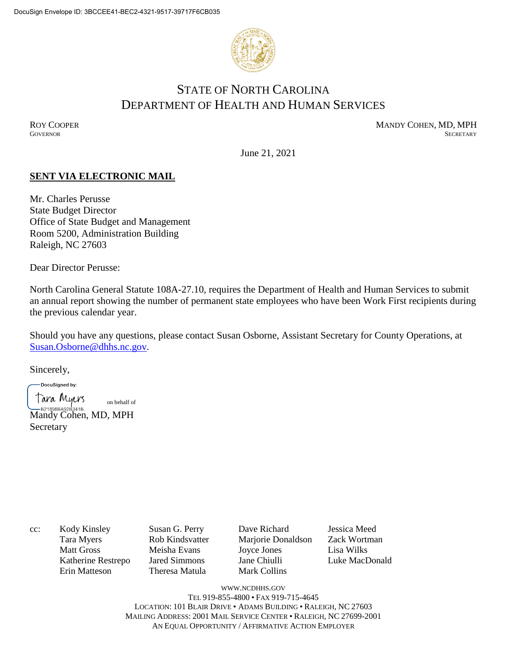

# STATE OF NORTH CAROLINA DEPARTMENT OF HEALTH AND HUMAN SERVICES

ROY COOPER MANDY COHEN, MD, MPH GOVERNOR SECRETARY **GOVERNOR** SECRETARY SECRETARY

June 21, 2021

## **SENT VIA ELECTRONIC MAIL**

Mr. Charles Perusse State Budget Director Office of State Budget and Management Room 5200, Administration Building Raleigh, NC 27603

Dear Director Perusse:

North Carolina General Statute 108A-27.10, requires the Department of Health and Human Services to submit an annual report showing the number of permanent state employees who have been Work First recipients during the previous calendar year.

Should you have any questions, please contact Susan Osborne, Assistant Secretary for County Operations, at [Susan.Osborne@dhhs.nc.gov.](mailto:Susan.Osborne@dhhs.nc.gov)

Sincerely,

DocuSigned by:

Tara Myers on behalf ofB21898BA92B341B...<br>Mandy Cohen, MD, MPH Secretary

cc: Kody Kinsley Susan G. Perry Dave Richard Jessica Meed

Erin Matteson Theresa Matula Mark Collins

Tara Myers Rob Kindsvatter Marjorie Donaldson Zack Wortman Matt Gross Meisha Evans Joyce Jones Lisa Wilks Katherine Restrepo Jared Simmons Jane Chiulli Luke MacDonald

WWW.[NCDHHS](http://www.ncdhhs.gov/).GOV TEL 919-855-4800 • FAX 919-715-4645 LOCATION: 101 BLAIR DRIVE • ADAMS BUILDING • RALEIGH, NC 27603 MAILING ADDRESS: 2001 MAIL SERVICE CENTER • RALEIGH, NC 27699-2001 AN EQUAL OPPORTUNITY / AFFIRMATIVE ACTION EMPLOYER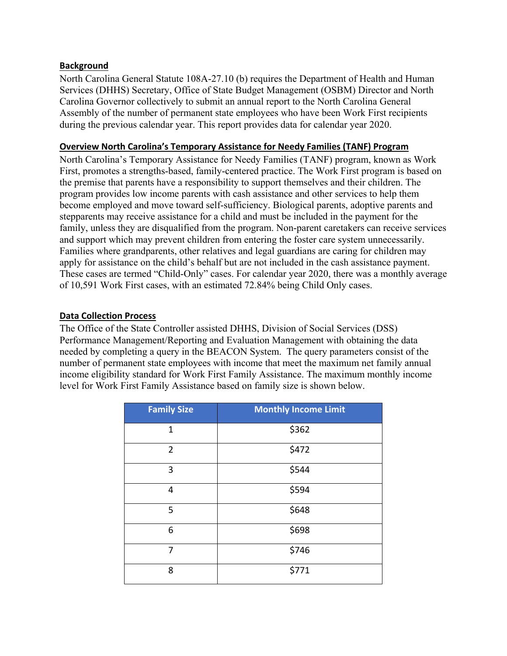## **Background**

North Carolina General Statute 108A-27.10 (b) requires the Department of Health and Human Services (DHHS) Secretary, Office of State Budget Management (OSBM) Director and North Carolina Governor collectively to submit an annual report to the North Carolina General Assembly of the number of permanent state employees who have been Work First recipients during the previous calendar year. This report provides data for calendar year 2020.

### **Overview North Carolina's Temporary Assistance for Needy Families (TANF) Program**

North Carolina's Temporary Assistance for Needy Families (TANF) program, known as Work First, promotes a strengths-based, family-centered practice. The Work First program is based on the premise that parents have a responsibility to support themselves and their children. The program provides low income parents with cash assistance and other services to help them become employed and move toward self-sufficiency. Biological parents, adoptive parents and stepparents may receive assistance for a child and must be included in the payment for the family, unless they are disqualified from the program. Non-parent caretakers can receive services and support which may prevent children from entering the foster care system unnecessarily. Families where grandparents, other relatives and legal guardians are caring for children may apply for assistance on the child's behalf but are not included in the cash assistance payment. These cases are termed "Child-Only" cases. For calendar year 2020, there was a monthly average of 10,591 Work First cases, with an estimated 72.84% being Child Only cases.

## **Data Collection Process**

The Office of the State Controller assisted DHHS, Division of Social Services (DSS) Performance Management/Reporting and Evaluation Management with obtaining the data needed by completing a query in the BEACON System. The query parameters consist of the number of permanent state employees with income that meet the maximum net family annual income eligibility standard for Work First Family Assistance. The maximum monthly income level for Work First Family Assistance based on family size is shown below.

| <b>Family Size</b> | <b>Monthly Income Limit</b> |
|--------------------|-----------------------------|
| $\mathbf{1}$       | \$362                       |
| $\overline{2}$     | \$472                       |
| 3                  | \$544                       |
| 4                  | \$594                       |
| 5                  | \$648                       |
| 6                  | \$698                       |
| 7                  | \$746                       |
| 8                  | \$771                       |